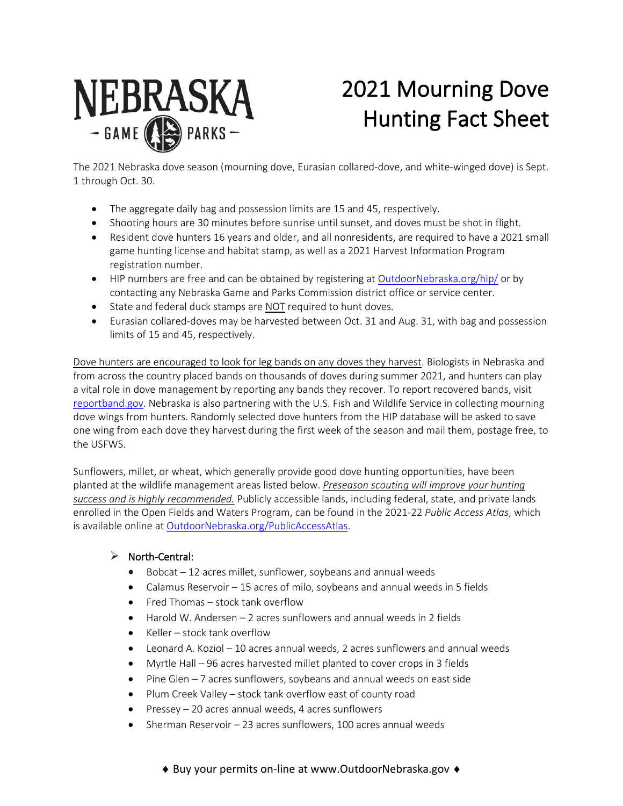

# 2021 Mourning Dove Hunting Fact Sheet

The 2021 Nebraska dove season (mourning dove, Eurasian collared-dove, and white-winged dove) is Sept. 1 through Oct. 30.

- The aggregate daily bag and possession limits are 15 and 45, respectively.
- Shooting hours are 30 minutes before sunrise until sunset, and doves must be shot in flight.
- Resident dove hunters 16 years and older, and all nonresidents, are required to have a 2021 small game hunting license and habitat stamp, as well as a 2021 Harvest Information Program registration number.
- HIP numbers are free and can be obtained by registering a[t OutdoorNebraska.org/hip/](http://outdoornebraska.org/hip/) or by contacting any Nebraska Game and Parks Commission district office or service center.
- State and federal duck stamps are NOT required to hunt doves.
- Eurasian collared-doves may be harvested between Oct. 31 and Aug. 31, with bag and possession limits of 15 and 45, respectively.

Dove hunters are encouraged to look for leg bands on any doves they harvest. Biologists in Nebraska and from across the country placed bands on thousands of doves during summer 2021, and hunters can play a vital role in dove management by reporting any bands they recover. To report recovered bands, visit [reportband.gov.](http://reportband.gov/) Nebraska is also partnering with the U.S. Fish and Wildlife Service in collecting mourning dove wings from hunters. Randomly selected dove hunters from the HIP database will be asked to save one wing from each dove they harvest during the first week of the season and mail them, postage free, to the USFWS.

Sunflowers, millet, or wheat, which generally provide good dove hunting opportunities, have been planted at the wildlife management areas listed below. *Preseason scouting will improve your hunting success and is highly recommended.* Publicly accessible lands, including federal, state, and private lands enrolled in the Open Fields and Waters Program, can be found in the 2021-22 *Public Access Atlas*, which is available online a[t OutdoorNebraska.org/PublicAccessAtlas.](http://outdoornebraska.org/PublicAccessAtlas)

# $\triangleright$  North-Central:

- Bobcat 12 acres millet, sunflower, soybeans and annual weeds
- Calamus Reservoir 15 acres of milo, soybeans and annual weeds in 5 fields
- Fred Thomas stock tank overflow
- Harold W. Andersen 2 acres sunflowers and annual weeds in 2 fields
- Keller stock tank overflow
- Leonard A. Koziol 10 acres annual weeds, 2 acres sunflowers and annual weeds
- Myrtle Hall 96 acres harvested millet planted to cover crops in 3 fields
- Pine Glen 7 acres sunflowers, soybeans and annual weeds on east side
- Plum Creek Valley stock tank overflow east of county road
- Pressey 20 acres annual weeds, 4 acres sunflowers
- Sherman Reservoir 23 acres sunflowers, 100 acres annual weeds

♦ Buy your permits on-line at www.OutdoorNebraska.gov ♦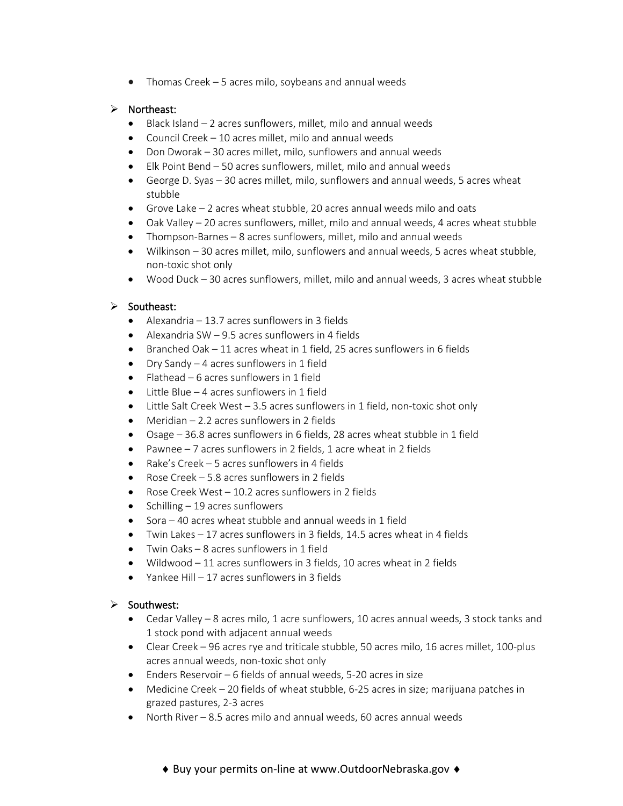• Thomas Creek – 5 acres milo, soybeans and annual weeds

## $\triangleright$  Northeast:

- Black Island 2 acres sunflowers, millet, milo and annual weeds
- Council Creek 10 acres millet, milo and annual weeds
- Don Dworak 30 acres millet, milo, sunflowers and annual weeds
- Elk Point Bend 50 acres sunflowers, millet, milo and annual weeds
- George D. Syas 30 acres millet, milo, sunflowers and annual weeds, 5 acres wheat stubble
- Grove Lake 2 acres wheat stubble, 20 acres annual weeds milo and oats
- Oak Valley 20 acres sunflowers, millet, milo and annual weeds, 4 acres wheat stubble
- Thompson-Barnes 8 acres sunflowers, millet, milo and annual weeds
- Wilkinson 30 acres millet, milo, sunflowers and annual weeds, 5 acres wheat stubble, non-toxic shot only
- Wood Duck 30 acres sunflowers, millet, milo and annual weeds, 3 acres wheat stubble

### $\triangleright$  Southeast:

- Alexandria 13.7 acres sunflowers in 3 fields
- Alexandria SW  $-$  9.5 acres sunflowers in 4 fields
- Branched Oak 11 acres wheat in 1 field, 25 acres sunflowers in 6 fields
- Dry Sandy 4 acres sunflowers in 1 field
- Flathead 6 acres sunflowers in 1 field
- Little Blue 4 acres sunflowers in 1 field
- Little Salt Creek West 3.5 acres sunflowers in 1 field, non-toxic shot only
- Meridian 2.2 acres sunflowers in 2 fields
- Osage 36.8 acres sunflowers in 6 fields, 28 acres wheat stubble in 1 field
- Pawnee 7 acres sunflowers in 2 fields, 1 acre wheat in 2 fields
- Rake's Creek 5 acres sunflowers in 4 fields
- Rose Creek 5.8 acres sunflowers in 2 fields
- Rose Creek West 10.2 acres sunflowers in 2 fields
- Schilling  $-19$  acres sunflowers
- Sora 40 acres wheat stubble and annual weeds in 1 field
- Twin Lakes 17 acres sunflowers in 3 fields, 14.5 acres wheat in 4 fields
- Twin Oaks 8 acres sunflowers in 1 field
- Wildwood 11 acres sunflowers in 3 fields, 10 acres wheat in 2 fields
- Yankee Hill 17 acres sunflowers in 3 fields

### $\triangleright$  Southwest:

- Cedar Valley 8 acres milo, 1 acre sunflowers, 10 acres annual weeds, 3 stock tanks and 1 stock pond with adjacent annual weeds
- Clear Creek 96 acres rye and triticale stubble, 50 acres milo, 16 acres millet, 100-plus acres annual weeds, non-toxic shot only
- Enders Reservoir 6 fields of annual weeds, 5-20 acres in size
- Medicine Creek 20 fields of wheat stubble, 6-25 acres in size; marijuana patches in grazed pastures, 2-3 acres
- North River 8.5 acres milo and annual weeds, 60 acres annual weeds

### ♦ Buy your permits on-line at www.OutdoorNebraska.gov ♦